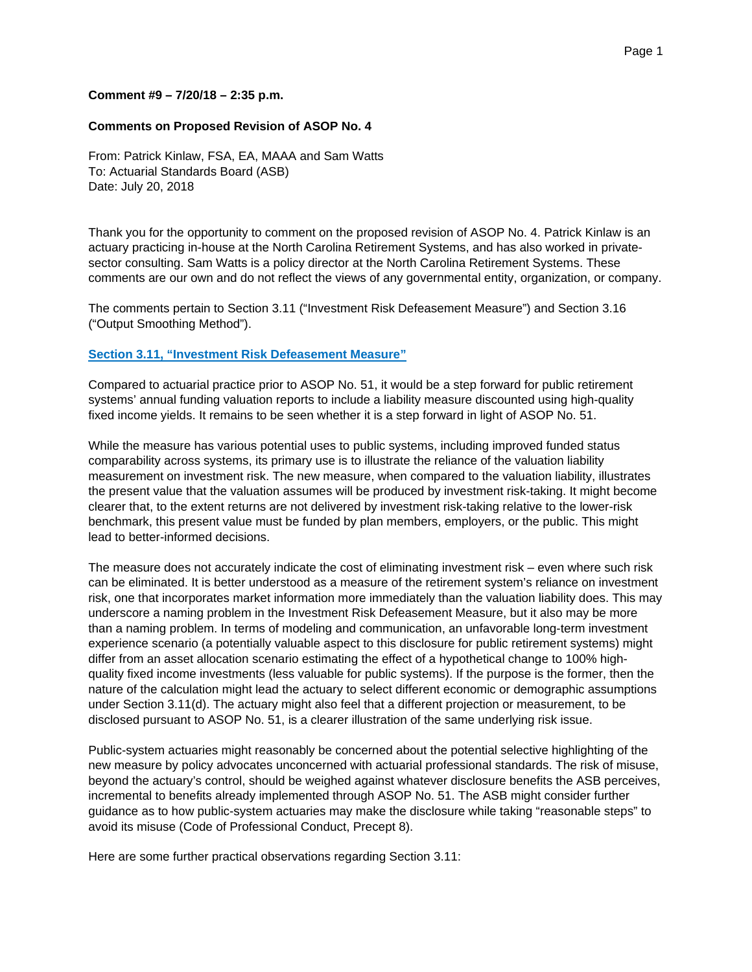## **Comment #9 – 7/20/18 – 2:35 p.m.**

## **Comments on Proposed Revision of ASOP No. 4**

From: Patrick Kinlaw, FSA, EA, MAAA and Sam Watts To: Actuarial Standards Board (ASB) Date: July 20, 2018

Thank you for the opportunity to comment on the proposed revision of ASOP No. 4. Patrick Kinlaw is an actuary practicing in-house at the North Carolina Retirement Systems, and has also worked in privatesector consulting. Sam Watts is a policy director at the North Carolina Retirement Systems. These comments are our own and do not reflect the views of any governmental entity, organization, or company.

The comments pertain to Section 3.11 ("Investment Risk Defeasement Measure") and Section 3.16 ("Output Smoothing Method").

## **Section 3.11, "Investment Risk Defeasement Measure"**

Compared to actuarial practice prior to ASOP No. 51, it would be a step forward for public retirement systems' annual funding valuation reports to include a liability measure discounted using high-quality fixed income yields. It remains to be seen whether it is a step forward in light of ASOP No. 51.

While the measure has various potential uses to public systems, including improved funded status comparability across systems, its primary use is to illustrate the reliance of the valuation liability measurement on investment risk. The new measure, when compared to the valuation liability, illustrates the present value that the valuation assumes will be produced by investment risk-taking. It might become clearer that, to the extent returns are not delivered by investment risk-taking relative to the lower-risk benchmark, this present value must be funded by plan members, employers, or the public. This might lead to better-informed decisions.

The measure does not accurately indicate the cost of eliminating investment risk – even where such risk can be eliminated. It is better understood as a measure of the retirement system's reliance on investment risk, one that incorporates market information more immediately than the valuation liability does. This may underscore a naming problem in the Investment Risk Defeasement Measure, but it also may be more than a naming problem. In terms of modeling and communication, an unfavorable long-term investment experience scenario (a potentially valuable aspect to this disclosure for public retirement systems) might differ from an asset allocation scenario estimating the effect of a hypothetical change to 100% highquality fixed income investments (less valuable for public systems). If the purpose is the former, then the nature of the calculation might lead the actuary to select different economic or demographic assumptions under Section 3.11(d). The actuary might also feel that a different projection or measurement, to be disclosed pursuant to ASOP No. 51, is a clearer illustration of the same underlying risk issue.

Public-system actuaries might reasonably be concerned about the potential selective highlighting of the new measure by policy advocates unconcerned with actuarial professional standards. The risk of misuse, beyond the actuary's control, should be weighed against whatever disclosure benefits the ASB perceives, incremental to benefits already implemented through ASOP No. 51. The ASB might consider further guidance as to how public-system actuaries may make the disclosure while taking "reasonable steps" to avoid its misuse (Code of Professional Conduct, Precept 8).

Here are some further practical observations regarding Section 3.11: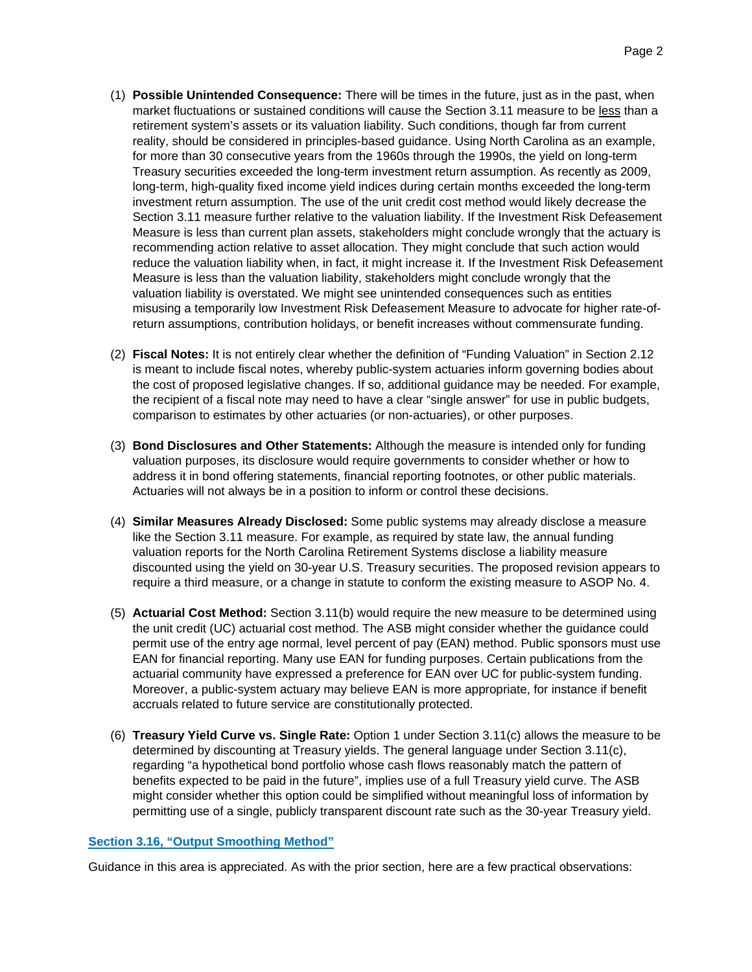- (1) **Possible Unintended Consequence:** There will be times in the future, just as in the past, when market fluctuations or sustained conditions will cause the Section 3.11 measure to be less than a retirement system's assets or its valuation liability. Such conditions, though far from current reality, should be considered in principles-based guidance. Using North Carolina as an example, for more than 30 consecutive years from the 1960s through the 1990s, the yield on long-term Treasury securities exceeded the long-term investment return assumption. As recently as 2009, long-term, high-quality fixed income yield indices during certain months exceeded the long-term investment return assumption. The use of the unit credit cost method would likely decrease the Section 3.11 measure further relative to the valuation liability. If the Investment Risk Defeasement Measure is less than current plan assets, stakeholders might conclude wrongly that the actuary is recommending action relative to asset allocation. They might conclude that such action would reduce the valuation liability when, in fact, it might increase it. If the Investment Risk Defeasement Measure is less than the valuation liability, stakeholders might conclude wrongly that the valuation liability is overstated. We might see unintended consequences such as entities misusing a temporarily low Investment Risk Defeasement Measure to advocate for higher rate-ofreturn assumptions, contribution holidays, or benefit increases without commensurate funding.
- (2) **Fiscal Notes:** It is not entirely clear whether the definition of "Funding Valuation" in Section 2.12 is meant to include fiscal notes, whereby public-system actuaries inform governing bodies about the cost of proposed legislative changes. If so, additional guidance may be needed. For example, the recipient of a fiscal note may need to have a clear "single answer" for use in public budgets, comparison to estimates by other actuaries (or non-actuaries), or other purposes.
- (3) **Bond Disclosures and Other Statements:** Although the measure is intended only for funding valuation purposes, its disclosure would require governments to consider whether or how to address it in bond offering statements, financial reporting footnotes, or other public materials. Actuaries will not always be in a position to inform or control these decisions.
- (4) **Similar Measures Already Disclosed:** Some public systems may already disclose a measure like the Section 3.11 measure. For example, as required by state law, the annual funding valuation reports for the North Carolina Retirement Systems disclose a liability measure discounted using the yield on 30-year U.S. Treasury securities. The proposed revision appears to require a third measure, or a change in statute to conform the existing measure to ASOP No. 4.
- (5) **Actuarial Cost Method:** Section 3.11(b) would require the new measure to be determined using the unit credit (UC) actuarial cost method. The ASB might consider whether the guidance could permit use of the entry age normal, level percent of pay (EAN) method. Public sponsors must use EAN for financial reporting. Many use EAN for funding purposes. Certain publications from the actuarial community have expressed a preference for EAN over UC for public-system funding. Moreover, a public-system actuary may believe EAN is more appropriate, for instance if benefit accruals related to future service are constitutionally protected.
- (6) **Treasury Yield Curve vs. Single Rate:** Option 1 under Section 3.11(c) allows the measure to be determined by discounting at Treasury yields. The general language under Section 3.11(c), regarding "a hypothetical bond portfolio whose cash flows reasonably match the pattern of benefits expected to be paid in the future", implies use of a full Treasury yield curve. The ASB might consider whether this option could be simplified without meaningful loss of information by permitting use of a single, publicly transparent discount rate such as the 30-year Treasury yield.

## **Section 3.16, "Output Smoothing Method"**

Guidance in this area is appreciated. As with the prior section, here are a few practical observations: